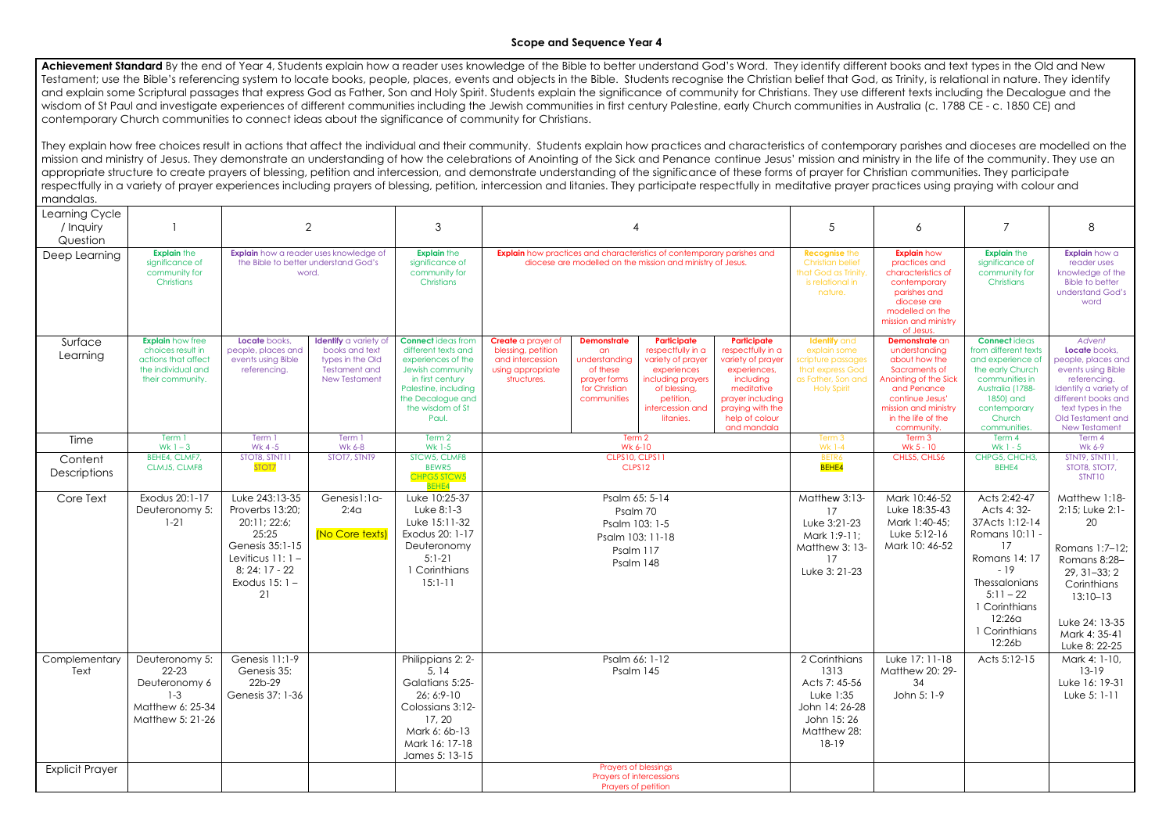## **Scope and Sequence Year 4**

Achievement Standard By the end of Year 4, Students explain how a reader uses knowledge of the Bible to better understand God's Word. They identify different books and text types in the Old and New Testament; use the Bible's referencing system to locate books, people, places, events and objects in the Bible. Students recognise the Christian belief that God, as Trinity, is relational in nature. They identify and explain some Scriptural passages that express God as Father, Son and Holy Spirit. Students explain the significance of community for Christians. They use different texts including the Decalogue and the wisdom of St Paul and investigate experiences of different communities including the Jewish communities in first century Palestine, early Church communities in Australia (c. 1788 CE - c. 1850 CE) and contemporary Church communities to connect ideas about the significance of community for Christians.

They explain how free choices result in actions that affect the individual and their community. Students explain how practices and characteristics of contemporary parishes and dioceses are modelled on the mission and ministry of Jesus. They demonstrate an understanding of how the celebrations of Anointing of the Sick and Penance continue Jesus' mission and ministry in the life of the community. They use an appropriate structure to create prayers of blessing, petition and intercession, and demonstrate understanding of the significance of these forms of prayer for Christian communities. They participate respectfully in a variety of prayer experiences including prayers of blessing, petition, intercession and litanies. They participate respectfully in meditative prayer practices using praying with colour and mandalas.

| Learning Cycle<br>/ Inquiry<br>Question |                                                                                                               | $\mathbf{2}$                                                                                                                                  |                                                                                                                    | 3                                                                                                                                                                                        |                                                                                                                                             |                                                                                                       |                                                                                                                                                         | $\sqrt{5}$                                                                                                                                                                       | 6                                                                                                                                                                | $\overline{7}$                                                                                                                                                                                    | 8                                                                                                                                                                                  |                                                                                                                                                                                                |
|-----------------------------------------|---------------------------------------------------------------------------------------------------------------|-----------------------------------------------------------------------------------------------------------------------------------------------|--------------------------------------------------------------------------------------------------------------------|------------------------------------------------------------------------------------------------------------------------------------------------------------------------------------------|---------------------------------------------------------------------------------------------------------------------------------------------|-------------------------------------------------------------------------------------------------------|---------------------------------------------------------------------------------------------------------------------------------------------------------|----------------------------------------------------------------------------------------------------------------------------------------------------------------------------------|------------------------------------------------------------------------------------------------------------------------------------------------------------------|---------------------------------------------------------------------------------------------------------------------------------------------------------------------------------------------------|------------------------------------------------------------------------------------------------------------------------------------------------------------------------------------|------------------------------------------------------------------------------------------------------------------------------------------------------------------------------------------------|
| Deep Learning                           | <b>Explain the</b><br>significance of<br>community for<br>Christians                                          | <b>Explain</b> how a reader uses knowledge of<br>the Bible to better understand God's<br>word.                                                |                                                                                                                    | <b>Explain the</b><br>significance of<br>community for<br>Christians                                                                                                                     | <b>Explain</b> how practices and characteristics of contemporary parishes and<br>diocese are modelled on the mission and ministry of Jesus. |                                                                                                       |                                                                                                                                                         | <b>Recognise the</b><br><b>Christian belief</b><br>that God as Trinity,<br>is relational in<br>nature.                                                                           | <b>Explain</b> how<br>practices and<br>characteristics of<br>contemporary<br>parishes and<br>diocese are<br>modelled on the<br>mission and ministry<br>of Jesus. | <b>Explain</b> the<br>significance of<br>community for<br>Christians                                                                                                                              | Explain how a<br>reader uses<br>knowledge of the<br><b>Bible to better</b><br>understand God's<br>word                                                                             |                                                                                                                                                                                                |
| Surface<br>Learning                     | <b>Explain</b> how free<br>choices result in<br>actions that affect<br>the individual and<br>their community. | Locate books,<br>people, places and<br>events using Bible<br>referencing.                                                                     | <b>Identify</b> a variety of<br>books and text<br>types in the Old<br><b>Testament and</b><br><b>New Testament</b> | <b>Connect</b> ideas from<br>different texts and<br>experiences of the<br>Jewish community<br>in first century<br>Palestine, including<br>the Decalogue and<br>the wisdom of St<br>Paul. | Create a prayer of<br>blessing, petition<br>and intercession<br>using appropriate<br>structures.                                            | <b>Demonstrate</b><br>an<br>understanding<br>of these<br>prayer forms<br>for Christian<br>communities | Participate<br>respectfully in a<br>variety of prayer<br>experiences<br>including prayers<br>of blessing,<br>petition,<br>intercession and<br>litanies. | <b>Participate</b><br>respectfully in a<br>variety of prayer<br>experiences,<br>including<br>meditative<br>prayer including<br>praying with the<br>help of colour<br>and mandala | <b>Identify</b> and<br>explain some<br>scripture passages<br>that express God<br>as Father, Son and<br><b>Holy Spirit</b>                                        | Demonstrate an<br>understanding<br>about how the<br>Sacraments of<br>Anointing of the Sick<br>and Penance<br>continue Jesus'<br>mission and ministry<br>in the life of the<br>community.          | <b>Connect ideas</b><br>from different texts<br>and experience of<br>the early Church<br>communities in<br>Australia (1788-<br>1850) and<br>contemporary<br>Church<br>communities. | Advent<br>Locate books,<br>people, places and<br>events using Bible<br>referencing.<br>Identify a variety of<br>different books and<br>text types in the<br>Old Testament and<br>New Testament |
| Time                                    | Term 1<br>$Wk 1 - 3$                                                                                          | Term 1<br>Wk 4-5                                                                                                                              | Term 1<br><b>Wk 6-8</b>                                                                                            | Term 2<br>Wk 1-5                                                                                                                                                                         |                                                                                                                                             | Term 2<br>Wk 6-10                                                                                     |                                                                                                                                                         |                                                                                                                                                                                  | Term 3<br><b>Wk 1-4</b>                                                                                                                                          | Term 3<br>Wk 5 - 10                                                                                                                                                                               | Term 4<br>Wk $1 - 5$                                                                                                                                                               | Term 4<br>Wk 6-9                                                                                                                                                                               |
| Content<br><b>Descriptions</b>          | BEHE4, CLMF7,<br>CLMJ5, CLMF8                                                                                 | STOT8, STNT11<br>STOT7                                                                                                                        | STOT7, STNT9                                                                                                       | STCW5, CLMF8<br>BEWR5<br>CHPG5 STCW5<br><b>BEHE4</b>                                                                                                                                     | <b>CLPS10, CLPS11</b><br>CLPS12                                                                                                             |                                                                                                       |                                                                                                                                                         | BETR6<br><b>BEHE4</b>                                                                                                                                                            | CHLS5, CHLS6                                                                                                                                                     | CHPG5, CHCH3,<br>BEHE4                                                                                                                                                                            | STNT9, STNT11,<br>STOT8, STOT7,<br>STNT10                                                                                                                                          |                                                                                                                                                                                                |
| Core Text                               | Exodus 20:1-17<br>Deuteronomy 5:<br>$1 - 21$                                                                  | Luke 243:13-35<br>Proverbs 13:20;<br>20:11; 22:6;<br>25:25<br>Genesis 35:1-15<br>Leviticus $11:1 -$<br>8; 24: 17 - 22<br>Exodus $15:1-$<br>21 | Genesis1:1a-<br>2:4 <sub>G</sub><br>(No Core texts)                                                                | Luke 10:25-37<br>Luke 8:1-3<br>Luke 15:11-32<br>Exodus 20: 1-17<br>Deuteronomy<br>$5:1-21$<br>1 Corinthians<br>$15:1 - 11$                                                               | Psalm 65: 5-14<br>Psalm 70<br>Psalm 103: 1-5<br>Psalm 103: 11-18<br>Psalm 117<br>Psalm 148                                                  |                                                                                                       |                                                                                                                                                         | Matthew 3:13-<br>17<br>Luke 3:21-23<br>Mark 1:9-11;<br>Matthew 3: 13-<br>17<br>Luke 3: 21-23                                                                                     | Mark 10:46-52<br>Luke 18:35-43<br>Mark 1:40-45;<br>Luke 5:12-16<br>Mark 10: 46-52                                                                                | Acts 2:42-47<br>Acts 4: 32-<br>37Acts 1:12-14<br>Romans 10:11 -<br>17<br>Romans 14: 17<br>$-19$<br>Thessalonians<br>$5:11 - 22$<br>1 Corinthians<br>12:26 <sub>G</sub><br>1 Corinthians<br>12:26b | Matthew 1:18-<br>2:15; Luke 2:1-<br>20<br>Romans 1:7-12;<br>Romans 8:28-<br>$29, 31 - 33; 2$<br>Corinthians<br>$13:10 - 13$<br>Luke 24: 13-35<br>Mark 4: 35-41<br>Luke 8: 22-25    |                                                                                                                                                                                                |
| Complementary<br>Text                   | Deuteronomy 5:<br>$22 - 23$<br>Deuteronomy 6<br>$1 - 3$<br>Matthew 6: 25-34<br>Matthew 5: 21-26               | Genesis 11:1-9<br>Genesis 35:<br>22b-29<br>Genesis 37: 1-36                                                                                   |                                                                                                                    | Philippians 2: 2-<br>5, 14<br>Galatians 5:25-<br>$26; 6:9-10$<br>Colossians 3:12-<br>17, 20<br>Mark 6: 6b-13<br>Mark 16: 17-18<br>James 5: 13-15                                         | Psalm 66: 1-12<br>Psalm 145                                                                                                                 |                                                                                                       |                                                                                                                                                         | 2 Corinthians<br>1313<br>Acts 7: 45-56<br>Luke 1:35<br>John 14: 26-28<br>John 15:26<br>Matthew 28:<br>18-19                                                                      | Luke 17: 11-18<br>Matthew 20: 29-<br>34<br>John 5: 1-9                                                                                                           | Acts 5:12-15                                                                                                                                                                                      | Mark 4: 1-10,<br>$13-19$<br>Luke 16: 19-31<br>Luke 5: 1-11                                                                                                                         |                                                                                                                                                                                                |
| <b>Explicit Prayer</b>                  |                                                                                                               |                                                                                                                                               |                                                                                                                    |                                                                                                                                                                                          |                                                                                                                                             | <b>Prayers of blessings</b><br><b>Prayers of intercessions</b><br>Prayers of petition                 |                                                                                                                                                         |                                                                                                                                                                                  |                                                                                                                                                                  |                                                                                                                                                                                                   |                                                                                                                                                                                    |                                                                                                                                                                                                |